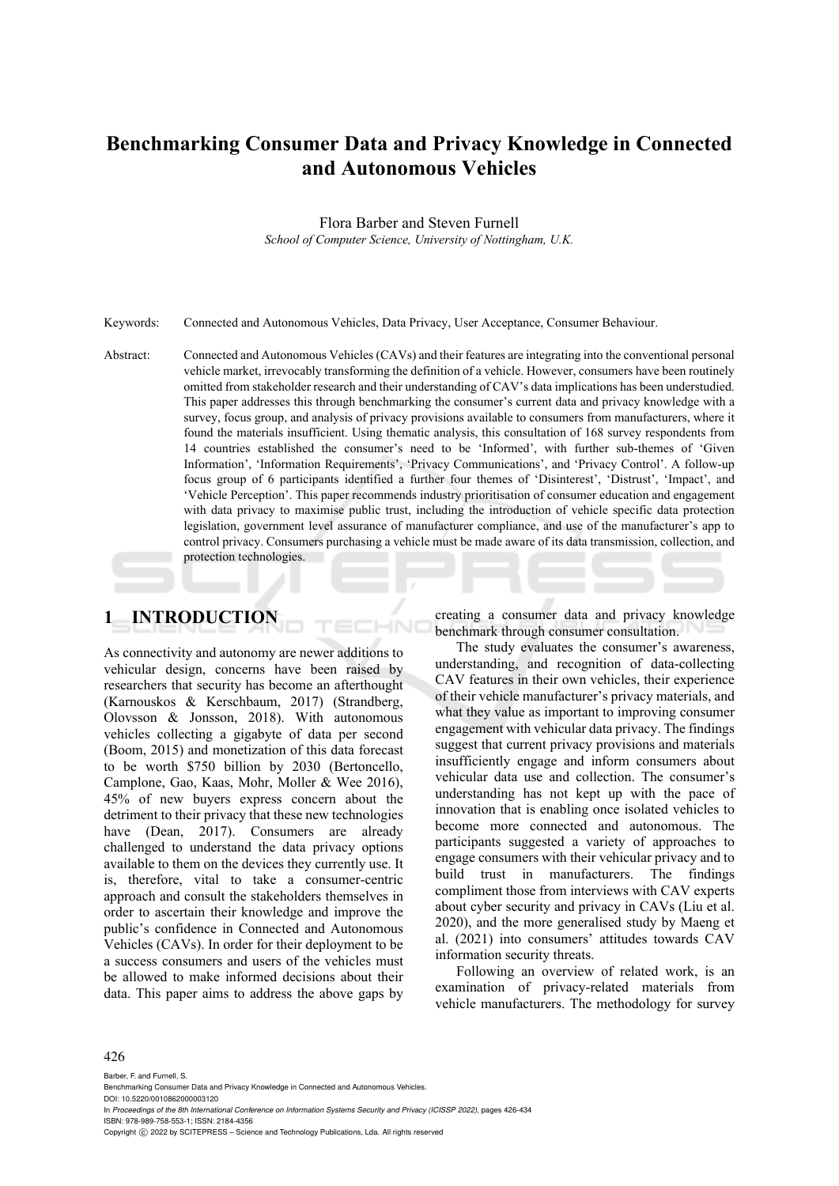# **Benchmarking Consumer Data and Privacy Knowledge in Connected and Autonomous Vehicles**

Flora Barber and Steven Furnell

*School of Computer Science, University of Nottingham, U.K.* 

Keywords: Connected and Autonomous Vehicles, Data Privacy, User Acceptance, Consumer Behaviour.

Abstract: Connected and Autonomous Vehicles (CAVs) and their features are integrating into the conventional personal vehicle market, irrevocably transforming the definition of a vehicle. However, consumers have been routinely omitted from stakeholder research and their understanding of CAV's data implications has been understudied. This paper addresses this through benchmarking the consumer's current data and privacy knowledge with a survey, focus group, and analysis of privacy provisions available to consumers from manufacturers, where it found the materials insufficient. Using thematic analysis, this consultation of 168 survey respondents from 14 countries established the consumer's need to be 'Informed', with further sub-themes of 'Given Information', 'Information Requirements', 'Privacy Communications', and 'Privacy Control'. A follow-up focus group of 6 participants identified a further four themes of 'Disinterest', 'Distrust', 'Impact', and 'Vehicle Perception'. This paper recommends industry prioritisation of consumer education and engagement with data privacy to maximise public trust, including the introduction of vehicle specific data protection legislation, government level assurance of manufacturer compliance, and use of the manufacturer's app to control privacy. Consumers purchasing a vehicle must be made aware of its data transmission, collection, and protection technologies.

## **1 INTRODUCTION**

As connectivity and autonomy are newer additions to vehicular design, concerns have been raised by researchers that security has become an afterthought (Karnouskos & Kerschbaum, 2017) (Strandberg, Olovsson & Jonsson, 2018). With autonomous vehicles collecting a gigabyte of data per second (Boom, 2015) and monetization of this data forecast to be worth \$750 billion by 2030 (Bertoncello, Camplone, Gao, Kaas, Mohr, Moller & Wee 2016), 45% of new buyers express concern about the detriment to their privacy that these new technologies have (Dean, 2017). Consumers are already challenged to understand the data privacy options available to them on the devices they currently use. It is, therefore, vital to take a consumer-centric approach and consult the stakeholders themselves in order to ascertain their knowledge and improve the public's confidence in Connected and Autonomous Vehicles (CAVs). In order for their deployment to be a success consumers and users of the vehicles must be allowed to make informed decisions about their data. This paper aims to address the above gaps by

creating a consumer data and privacy knowledge benchmark through consumer consultation.

The study evaluates the consumer's awareness, understanding, and recognition of data-collecting CAV features in their own vehicles, their experience of their vehicle manufacturer's privacy materials, and what they value as important to improving consumer engagement with vehicular data privacy. The findings suggest that current privacy provisions and materials insufficiently engage and inform consumers about vehicular data use and collection. The consumer's understanding has not kept up with the pace of innovation that is enabling once isolated vehicles to become more connected and autonomous. The participants suggested a variety of approaches to engage consumers with their vehicular privacy and to build trust in manufacturers. The findings compliment those from interviews with CAV experts about cyber security and privacy in CAVs (Liu et al. 2020), and the more generalised study by Maeng et al. (2021) into consumers' attitudes towards CAV information security threats.

Following an overview of related work, is an examination of privacy-related materials from vehicle manufacturers. The methodology for survey

#### 426

Barber, F. and Furnell, S. Benchmarking Consumer Data and Privacy Knowledge in Connected and Autonomous Vehicles. DOI: 10.5220/0010862000003120 In *Proceedings of the 8th International Conference on Information Systems Security and Privacy (ICISSP 2022)*, pages 426-434 ISBN: 978-989-758-553-1; ISSN: 2184-4356 Copyright (C) 2022 by SCITEPRESS - Science and Technology Publications, Lda. All rights reserved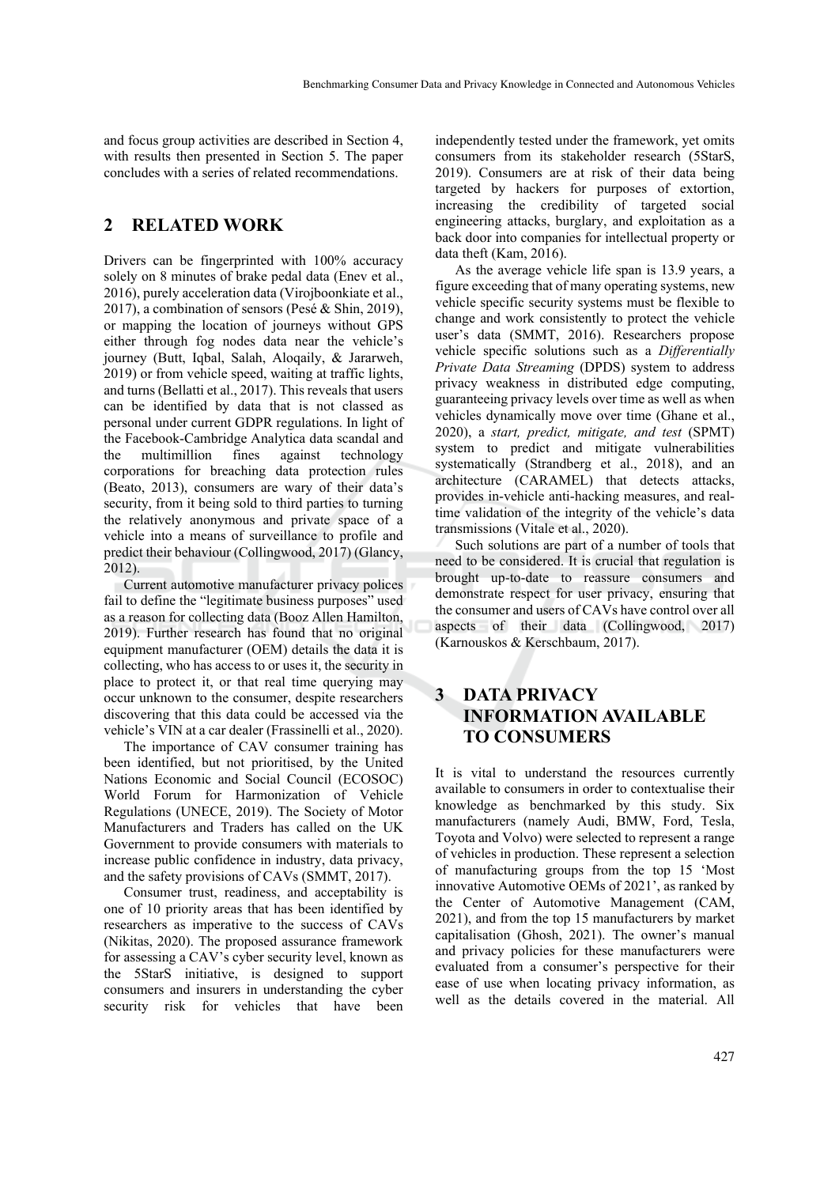and focus group activities are described in Section 4, with results then presented in Section 5. The paper concludes with a series of related recommendations.

### **2 RELATED WORK**

Drivers can be fingerprinted with 100% accuracy solely on 8 minutes of brake pedal data (Enev et al., 2016), purely acceleration data (Virojboonkiate et al., 2017), a combination of sensors (Pesé & Shin, 2019), or mapping the location of journeys without GPS either through fog nodes data near the vehicle's journey (Butt, Iqbal, Salah, Aloqaily, & Jararweh, 2019) or from vehicle speed, waiting at traffic lights, and turns (Bellatti et al., 2017). This reveals that users can be identified by data that is not classed as personal under current GDPR regulations. In light of the Facebook-Cambridge Analytica data scandal and the multimillion fines against technology corporations for breaching data protection rules (Beato, 2013), consumers are wary of their data's security, from it being sold to third parties to turning the relatively anonymous and private space of a vehicle into a means of surveillance to profile and predict their behaviour (Collingwood, 2017) (Glancy, 2012).

Current automotive manufacturer privacy polices fail to define the "legitimate business purposes" used as a reason for collecting data (Booz Allen Hamilton, 2019). Further research has found that no original equipment manufacturer (OEM) details the data it is collecting, who has access to or uses it, the security in place to protect it, or that real time querying may occur unknown to the consumer, despite researchers discovering that this data could be accessed via the vehicle's VIN at a car dealer (Frassinelli et al., 2020).

The importance of CAV consumer training has been identified, but not prioritised, by the United Nations Economic and Social Council (ECOSOC) World Forum for Harmonization of Vehicle Regulations (UNECE, 2019). The Society of Motor Manufacturers and Traders has called on the UK Government to provide consumers with materials to increase public confidence in industry, data privacy, and the safety provisions of CAVs (SMMT, 2017).

Consumer trust, readiness, and acceptability is one of 10 priority areas that has been identified by researchers as imperative to the success of CAVs (Nikitas, 2020). The proposed assurance framework for assessing a CAV's cyber security level, known as the 5StarS initiative, is designed to support consumers and insurers in understanding the cyber security risk for vehicles that have been

independently tested under the framework, yet omits consumers from its stakeholder research (5StarS, 2019). Consumers are at risk of their data being targeted by hackers for purposes of extortion, increasing the credibility of targeted social engineering attacks, burglary, and exploitation as a back door into companies for intellectual property or data theft (Kam, 2016).

As the average vehicle life span is 13.9 years, a figure exceeding that of many operating systems, new vehicle specific security systems must be flexible to change and work consistently to protect the vehicle user's data (SMMT, 2016). Researchers propose vehicle specific solutions such as a *Differentially Private Data Streaming* (DPDS) system to address privacy weakness in distributed edge computing, guaranteeing privacy levels over time as well as when vehicles dynamically move over time (Ghane et al., 2020), a *start, predict, mitigate, and test* (SPMT) system to predict and mitigate vulnerabilities systematically (Strandberg et al., 2018), and an architecture (CARAMEL) that detects attacks, provides in-vehicle anti-hacking measures, and realtime validation of the integrity of the vehicle's data transmissions (Vitale et al., 2020).

Such solutions are part of a number of tools that need to be considered. It is crucial that regulation is brought up-to-date to reassure consumers and demonstrate respect for user privacy, ensuring that the consumer and users of CAVs have control over all aspects of their data (Collingwood, 2017) (Karnouskos & Kerschbaum, 2017).

## **3 DATA PRIVACY INFORMATION AVAILABLE TO CONSUMERS**

It is vital to understand the resources currently available to consumers in order to contextualise their knowledge as benchmarked by this study. Six manufacturers (namely Audi, BMW, Ford, Tesla, Toyota and Volvo) were selected to represent a range of vehicles in production. These represent a selection of manufacturing groups from the top 15 'Most innovative Automotive OEMs of 2021', as ranked by the Center of Automotive Management (CAM, 2021), and from the top 15 manufacturers by market capitalisation (Ghosh, 2021). The owner's manual and privacy policies for these manufacturers were evaluated from a consumer's perspective for their ease of use when locating privacy information, as well as the details covered in the material. All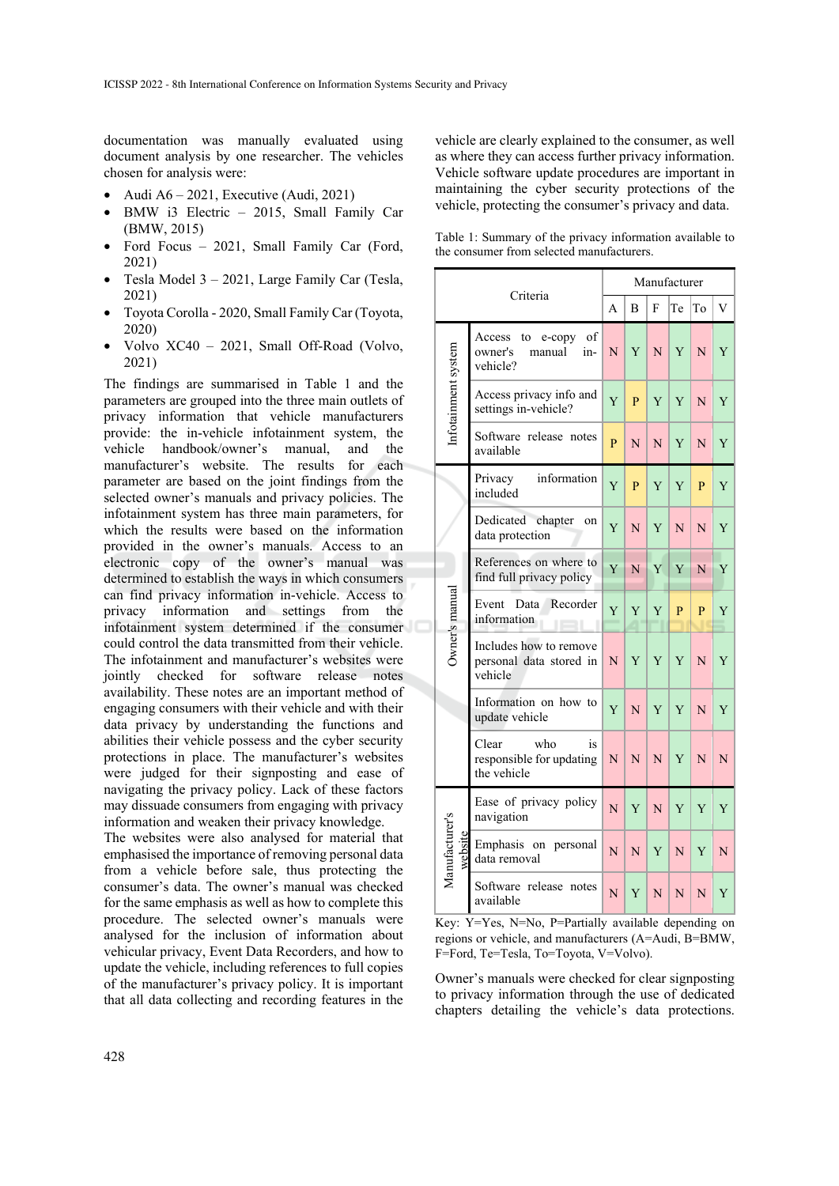documentation was manually evaluated using document analysis by one researcher. The vehicles chosen for analysis were:

- Audi  $A6 2021$ , Executive (Audi, 2021)
- BMW i3 Electric 2015, Small Family Car (BMW, 2015)
- Ford Focus 2021, Small Family Car (Ford, 2021)
- Tesla Model 3 2021, Large Family Car (Tesla, 2021)
- Toyota Corolla 2020, Small Family Car (Toyota, 2020)
- Volvo XC40 2021, Small Off-Road (Volvo, 2021)

The findings are summarised in Table 1 and the parameters are grouped into the three main outlets of privacy information that vehicle manufacturers provide: the in-vehicle infotainment system, the vehicle handbook/owner's manual, and the manufacturer's website. The results for each parameter are based on the joint findings from the selected owner's manuals and privacy policies. The infotainment system has three main parameters, for which the results were based on the information provided in the owner's manuals. Access to an electronic copy of the owner's manual was determined to establish the ways in which consumers can find privacy information in-vehicle. Access to privacy information and settings from the infotainment system determined if the consumer could control the data transmitted from their vehicle. The infotainment and manufacturer's websites were jointly checked for software release notes availability. These notes are an important method of engaging consumers with their vehicle and with their data privacy by understanding the functions and abilities their vehicle possess and the cyber security protections in place. The manufacturer's websites were judged for their signposting and ease of navigating the privacy policy. Lack of these factors may dissuade consumers from engaging with privacy information and weaken their privacy knowledge.

The websites were also analysed for material that emphasised the importance of removing personal data from a vehicle before sale, thus protecting the consumer's data. The owner's manual was checked for the same emphasis as well as how to complete this procedure. The selected owner's manuals were analysed for the inclusion of information about vehicular privacy, Event Data Recorders, and how to update the vehicle, including references to full copies of the manufacturer's privacy policy. It is important that all data collecting and recording features in the vehicle are clearly explained to the consumer, as well as where they can access further privacy information. Vehicle software update procedures are important in maintaining the cyber security protections of the vehicle, protecting the consumer's privacy and data.

Table 1: Summary of the privacy information available to the consumer from selected manufacturers.

| Criteria                |                                                                      | Manufacturer |   |   |    |    |   |
|-------------------------|----------------------------------------------------------------------|--------------|---|---|----|----|---|
|                         |                                                                      | A            | B | F | Te | To | V |
| Infotainment system     | to<br>e-copy<br>of<br>Access<br>in-<br>owner's<br>manual<br>vehicle? | N            | Y | N | Y  | N  | Y |
|                         | Access privacy info and<br>settings in-vehicle?                      | Y            | P | Y | Y  | N  | Y |
|                         | Software release notes<br>available                                  | $\mathbf{P}$ | N | N | Y  | N  | Y |
| Owner's manual          | information<br>Privacy<br>included                                   | Y            | P | Y | Y  | P  | Y |
|                         | Dedicated<br>chapter<br>on<br>data protection                        | Y            | N | Y | N  | N  | Y |
|                         | References on where to<br>find full privacy policy                   | Y            | N | Y | Y  | N  | Y |
|                         | Event<br>Data<br>Recorder<br>information                             | Y            | Y | Y | P  | P  | Y |
|                         | Includes how to remove<br>personal data stored in<br>vehicle         | N            | Y | Y | Y  | N  | Y |
|                         | Information on how to<br>update vehicle                              | Y            | N | Y | Y  | N  | Y |
|                         | Clear<br>who<br>is<br>responsible for updating<br>the vehicle        | N            | N | N | Y  | N  | N |
| Manufacturer's<br>websi | Ease of privacy policy<br>navigation                                 | N            | Y | N | Y  | Y  | Y |
|                         | Emphasis on personal<br>data removal                                 | N            | N | Y | N  | Y  | N |
|                         | Software release notes<br>available                                  | N            | Y | N | N  | N  | Y |

Key: Y=Yes, N=No, P=Partially available depending on regions or vehicle, and manufacturers (A=Audi, B=BMW, F=Ford, Te=Tesla, To=Toyota, V=Volvo).

Owner's manuals were checked for clear signposting to privacy information through the use of dedicated chapters detailing the vehicle's data protections.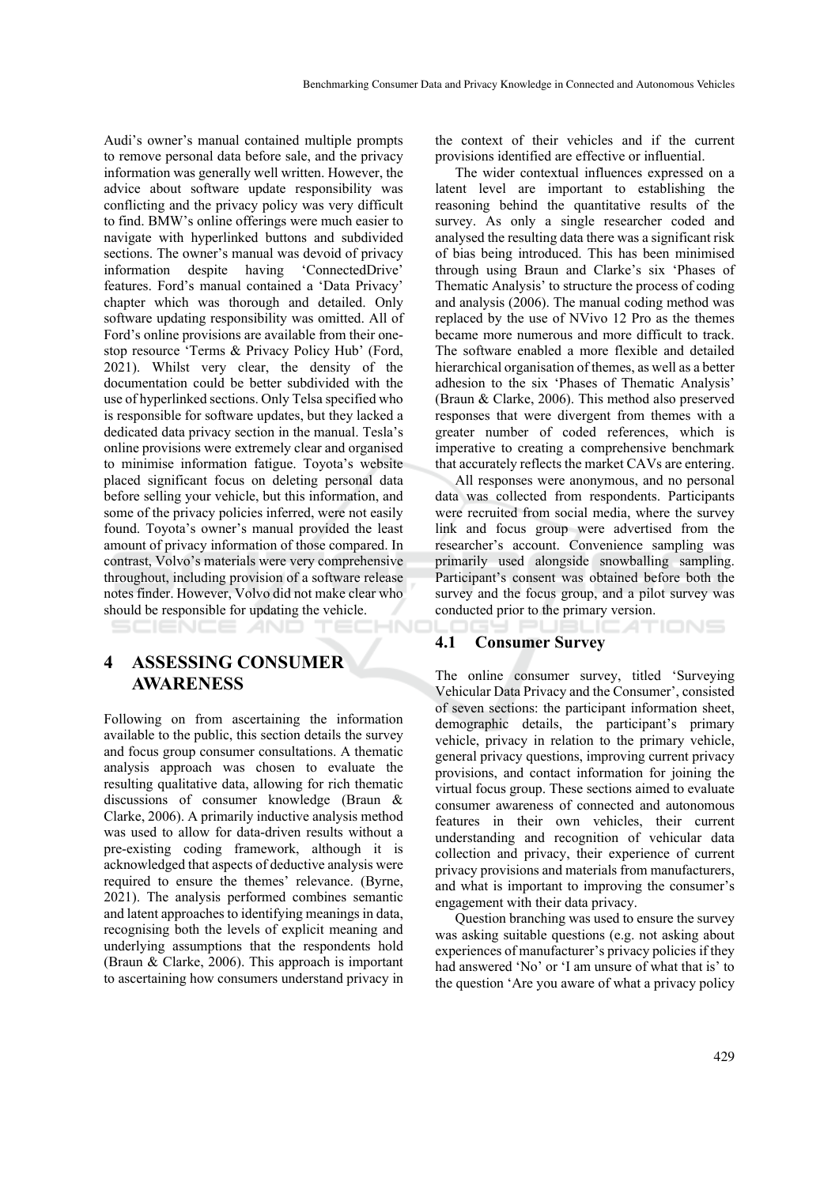Audi's owner's manual contained multiple prompts to remove personal data before sale, and the privacy information was generally well written. However, the advice about software update responsibility was conflicting and the privacy policy was very difficult to find. BMW's online offerings were much easier to navigate with hyperlinked buttons and subdivided sections. The owner's manual was devoid of privacy information despite having 'ConnectedDrive' features. Ford's manual contained a 'Data Privacy' chapter which was thorough and detailed. Only software updating responsibility was omitted. All of Ford's online provisions are available from their onestop resource 'Terms & Privacy Policy Hub' (Ford, 2021). Whilst very clear, the density of the documentation could be better subdivided with the use of hyperlinked sections. Only Telsa specified who is responsible for software updates, but they lacked a dedicated data privacy section in the manual. Tesla's online provisions were extremely clear and organised to minimise information fatigue. Toyota's website placed significant focus on deleting personal data before selling your vehicle, but this information, and some of the privacy policies inferred, were not easily found. Toyota's owner's manual provided the least amount of privacy information of those compared. In contrast, Volvo's materials were very comprehensive throughout, including provision of a software release notes finder. However, Volvo did not make clear who should be responsible for updating the vehicle. HNC

#### SCIENCE *A*ND

### **4 ASSESSING CONSUMER AWARENESS**

Following on from ascertaining the information available to the public, this section details the survey and focus group consumer consultations. A thematic analysis approach was chosen to evaluate the resulting qualitative data, allowing for rich thematic discussions of consumer knowledge (Braun & Clarke, 2006). A primarily inductive analysis method was used to allow for data-driven results without a pre-existing coding framework, although it is acknowledged that aspects of deductive analysis were required to ensure the themes' relevance. (Byrne, 2021). The analysis performed combines semantic and latent approaches to identifying meanings in data, recognising both the levels of explicit meaning and underlying assumptions that the respondents hold (Braun & Clarke, 2006). This approach is important to ascertaining how consumers understand privacy in

the context of their vehicles and if the current provisions identified are effective or influential.

The wider contextual influences expressed on a latent level are important to establishing the reasoning behind the quantitative results of the survey. As only a single researcher coded and analysed the resulting data there was a significant risk of bias being introduced. This has been minimised through using Braun and Clarke's six 'Phases of Thematic Analysis' to structure the process of coding and analysis (2006). The manual coding method was replaced by the use of NVivo 12 Pro as the themes became more numerous and more difficult to track. The software enabled a more flexible and detailed hierarchical organisation of themes, as well as a better adhesion to the six 'Phases of Thematic Analysis' (Braun & Clarke, 2006). This method also preserved responses that were divergent from themes with a greater number of coded references, which is imperative to creating a comprehensive benchmark that accurately reflects the market CAVs are entering.

All responses were anonymous, and no personal data was collected from respondents. Participants were recruited from social media, where the survey link and focus group were advertised from the researcher's account. Convenience sampling was primarily used alongside snowballing sampling. Participant's consent was obtained before both the survey and the focus group, and a pilot survey was conducted prior to the primary version.

:ATIONS

#### **4.1 Consumer Survey**

The online consumer survey, titled 'Surveying Vehicular Data Privacy and the Consumer', consisted of seven sections: the participant information sheet, demographic details, the participant's primary vehicle, privacy in relation to the primary vehicle, general privacy questions, improving current privacy provisions, and contact information for joining the virtual focus group. These sections aimed to evaluate consumer awareness of connected and autonomous features in their own vehicles, their current understanding and recognition of vehicular data collection and privacy, their experience of current privacy provisions and materials from manufacturers, and what is important to improving the consumer's engagement with their data privacy.

Question branching was used to ensure the survey was asking suitable questions (e.g. not asking about experiences of manufacturer's privacy policies if they had answered 'No' or 'I am unsure of what that is' to the question 'Are you aware of what a privacy policy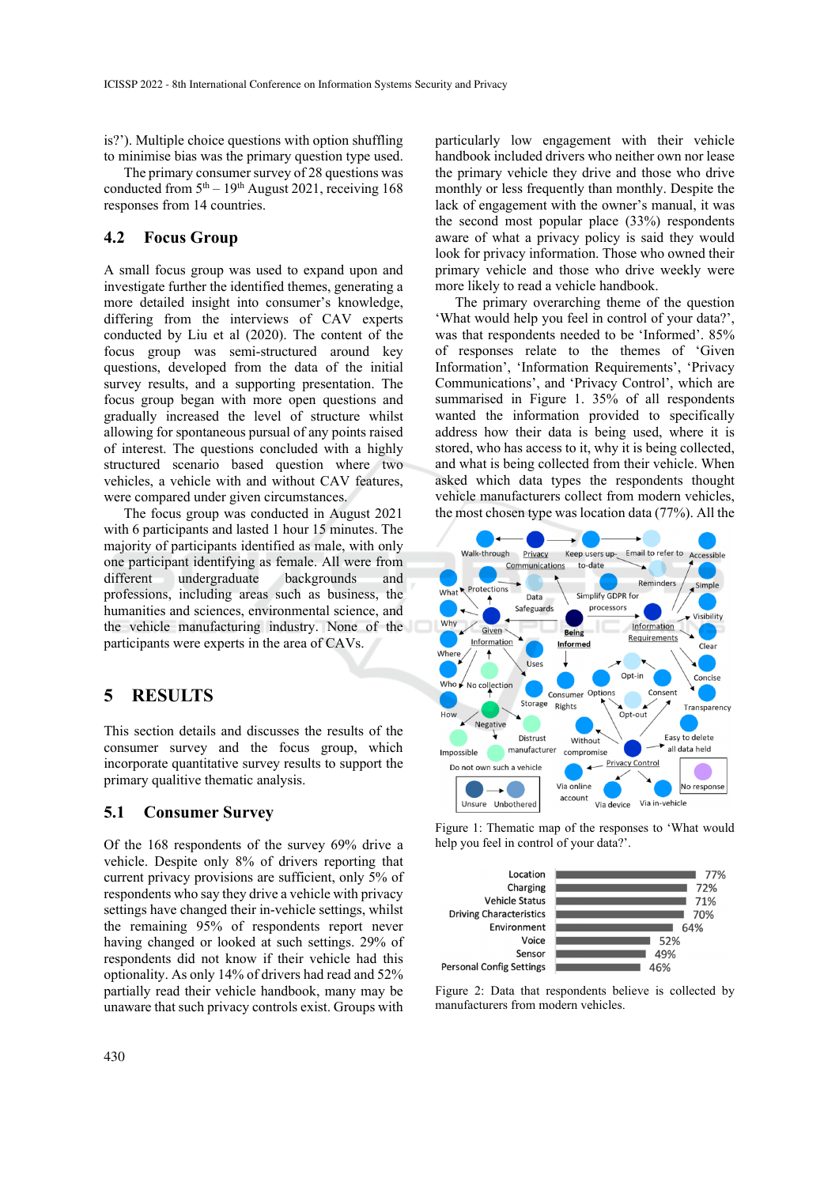is?'). Multiple choice questions with option shuffling to minimise bias was the primary question type used.

The primary consumer survey of 28 questions was conducted from  $5<sup>th</sup> - 19<sup>th</sup>$  August 2021, receiving 168 responses from 14 countries.

### **4.2 Focus Group**

A small focus group was used to expand upon and investigate further the identified themes, generating a more detailed insight into consumer's knowledge, differing from the interviews of CAV experts conducted by Liu et al (2020). The content of the focus group was semi-structured around key questions, developed from the data of the initial survey results, and a supporting presentation. The focus group began with more open questions and gradually increased the level of structure whilst allowing for spontaneous pursual of any points raised of interest. The questions concluded with a highly structured scenario based question where two vehicles, a vehicle with and without CAV features, were compared under given circumstances.

The focus group was conducted in August 2021 with 6 participants and lasted 1 hour 15 minutes. The majority of participants identified as male, with only one participant identifying as female. All were from different undergraduate backgrounds and professions, including areas such as business, the humanities and sciences, environmental science, and the vehicle manufacturing industry. None of the participants were experts in the area of CAVs.

### **5 RESULTS**

This section details and discusses the results of the consumer survey and the focus group, which incorporate quantitative survey results to support the primary qualitive thematic analysis.

#### **5.1 Consumer Survey**

Of the 168 respondents of the survey 69% drive a vehicle. Despite only 8% of drivers reporting that current privacy provisions are sufficient, only 5% of respondents who say they drive a vehicle with privacy settings have changed their in-vehicle settings, whilst the remaining 95% of respondents report never having changed or looked at such settings. 29% of respondents did not know if their vehicle had this optionality. As only 14% of drivers had read and 52% partially read their vehicle handbook, many may be unaware that such privacy controls exist. Groups with

particularly low engagement with their vehicle handbook included drivers who neither own nor lease the primary vehicle they drive and those who drive monthly or less frequently than monthly. Despite the lack of engagement with the owner's manual, it was the second most popular place (33%) respondents aware of what a privacy policy is said they would look for privacy information. Those who owned their primary vehicle and those who drive weekly were more likely to read a vehicle handbook.

The primary overarching theme of the question 'What would help you feel in control of your data?', was that respondents needed to be 'Informed'. 85% of responses relate to the themes of 'Given Information', 'Information Requirements', 'Privacy Communications', and 'Privacy Control', which are summarised in Figure 1. 35% of all respondents wanted the information provided to specifically address how their data is being used, where it is stored, who has access to it, why it is being collected, and what is being collected from their vehicle. When asked which data types the respondents thought vehicle manufacturers collect from modern vehicles, the most chosen type was location data (77%). All the



Figure 1: Thematic map of the responses to 'What would help you feel in control of your data?'.



Figure 2: Data that respondents believe is collected by manufacturers from modern vehicles.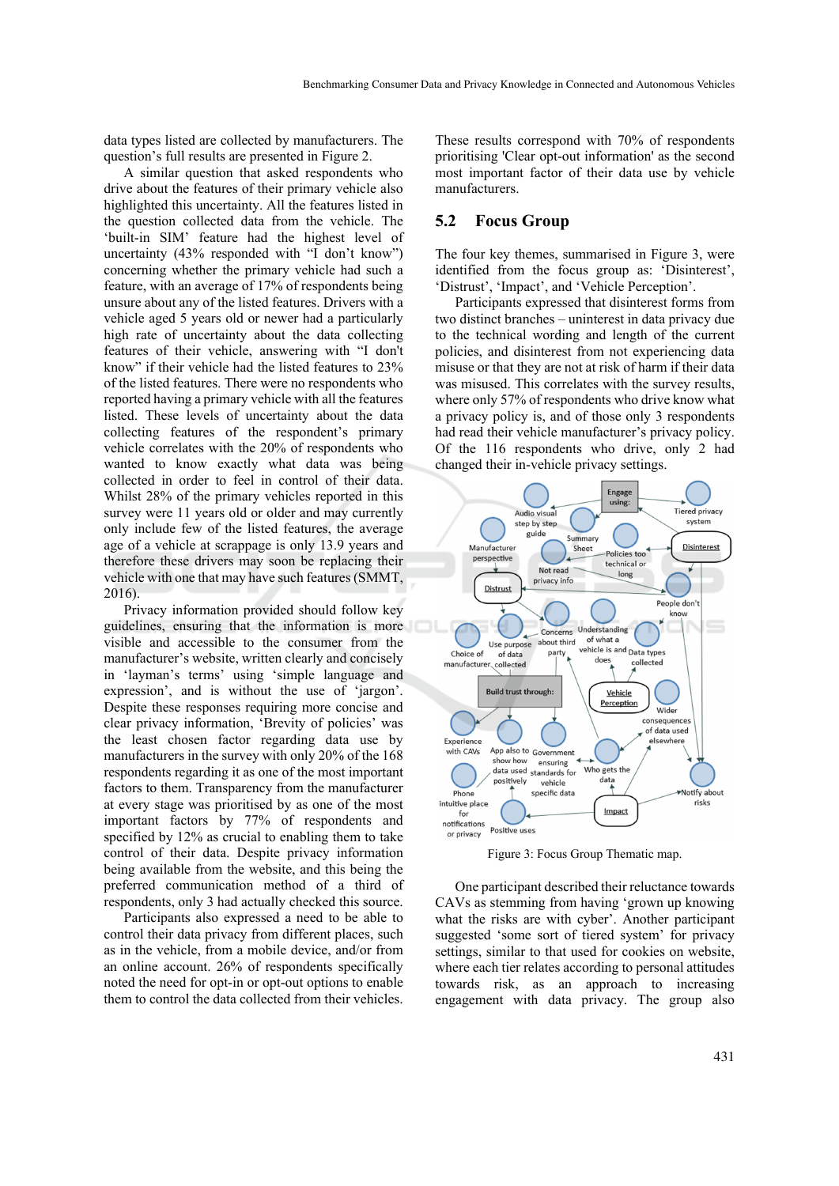data types listed are collected by manufacturers. The question's full results are presented in Figure 2.

A similar question that asked respondents who drive about the features of their primary vehicle also highlighted this uncertainty. All the features listed in the question collected data from the vehicle. The 'built-in SIM' feature had the highest level of uncertainty (43% responded with "I don't know") concerning whether the primary vehicle had such a feature, with an average of 17% of respondents being unsure about any of the listed features. Drivers with a vehicle aged 5 years old or newer had a particularly high rate of uncertainty about the data collecting features of their vehicle, answering with "I don't know" if their vehicle had the listed features to 23% of the listed features. There were no respondents who reported having a primary vehicle with all the features listed. These levels of uncertainty about the data collecting features of the respondent's primary vehicle correlates with the 20% of respondents who wanted to know exactly what data was being collected in order to feel in control of their data. Whilst 28% of the primary vehicles reported in this survey were 11 years old or older and may currently only include few of the listed features, the average age of a vehicle at scrappage is only 13.9 years and therefore these drivers may soon be replacing their vehicle with one that may have such features (SMMT, 2016).

Privacy information provided should follow key guidelines, ensuring that the information is more visible and accessible to the consumer from the manufacturer's website, written clearly and concisely in 'layman's terms' using 'simple language and expression', and is without the use of 'jargon'. Despite these responses requiring more concise and clear privacy information, 'Brevity of policies' was the least chosen factor regarding data use by manufacturers in the survey with only 20% of the 168 respondents regarding it as one of the most important factors to them. Transparency from the manufacturer at every stage was prioritised by as one of the most important factors by 77% of respondents and specified by 12% as crucial to enabling them to take control of their data. Despite privacy information being available from the website, and this being the preferred communication method of a third of respondents, only 3 had actually checked this source.

Participants also expressed a need to be able to control their data privacy from different places, such as in the vehicle, from a mobile device, and/or from an online account. 26% of respondents specifically noted the need for opt-in or opt-out options to enable them to control the data collected from their vehicles.

These results correspond with 70% of respondents prioritising 'Clear opt-out information' as the second most important factor of their data use by vehicle manufacturers.

#### **5.2 Focus Group**

The four key themes, summarised in Figure 3, were identified from the focus group as: 'Disinterest', 'Distrust', 'Impact', and 'Vehicle Perception'.

Participants expressed that disinterest forms from two distinct branches – uninterest in data privacy due to the technical wording and length of the current policies, and disinterest from not experiencing data misuse or that they are not at risk of harm if their data was misused. This correlates with the survey results, where only 57% of respondents who drive know what a privacy policy is, and of those only 3 respondents had read their vehicle manufacturer's privacy policy. Of the 116 respondents who drive, only 2 had changed their in-vehicle privacy settings.



Figure 3: Focus Group Thematic map.

One participant described their reluctance towards CAVs as stemming from having 'grown up knowing what the risks are with cyber'. Another participant suggested 'some sort of tiered system' for privacy settings, similar to that used for cookies on website, where each tier relates according to personal attitudes towards risk, as an approach to increasing engagement with data privacy. The group also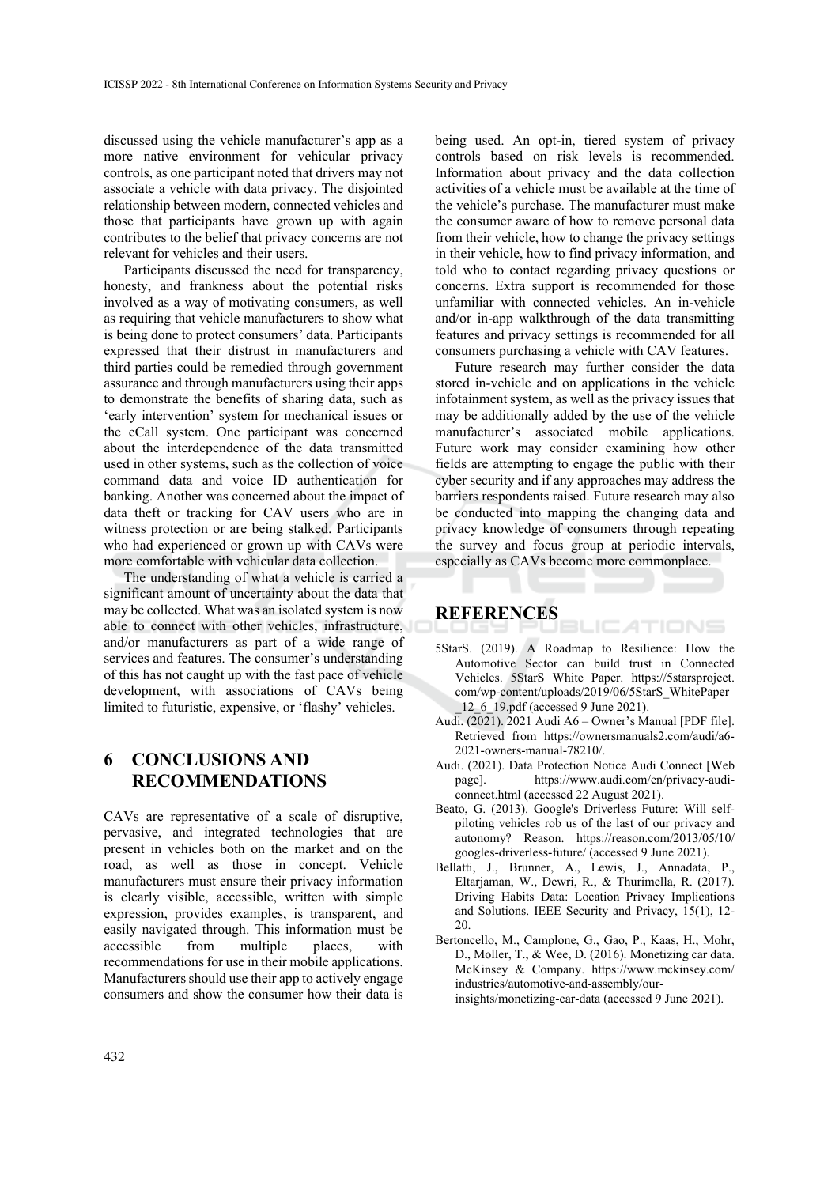discussed using the vehicle manufacturer's app as a more native environment for vehicular privacy controls, as one participant noted that drivers may not associate a vehicle with data privacy. The disjointed relationship between modern, connected vehicles and those that participants have grown up with again contributes to the belief that privacy concerns are not relevant for vehicles and their users.

Participants discussed the need for transparency, honesty, and frankness about the potential risks involved as a way of motivating consumers, as well as requiring that vehicle manufacturers to show what is being done to protect consumers' data. Participants expressed that their distrust in manufacturers and third parties could be remedied through government assurance and through manufacturers using their apps to demonstrate the benefits of sharing data, such as 'early intervention' system for mechanical issues or the eCall system. One participant was concerned about the interdependence of the data transmitted used in other systems, such as the collection of voice command data and voice ID authentication for banking. Another was concerned about the impact of data theft or tracking for CAV users who are in witness protection or are being stalked. Participants who had experienced or grown up with CAVs were more comfortable with vehicular data collection.

The understanding of what a vehicle is carried a significant amount of uncertainty about the data that may be collected. What was an isolated system is now able to connect with other vehicles, infrastructure, and/or manufacturers as part of a wide range of services and features. The consumer's understanding of this has not caught up with the fast pace of vehicle development, with associations of CAVs being limited to futuristic, expensive, or 'flashy' vehicles.

### **6 CONCLUSIONS AND RECOMMENDATIONS**

CAVs are representative of a scale of disruptive, pervasive, and integrated technologies that are present in vehicles both on the market and on the road, as well as those in concept. Vehicle manufacturers must ensure their privacy information is clearly visible, accessible, written with simple expression, provides examples, is transparent, and easily navigated through. This information must be accessible from multiple places, with recommendations for use in their mobile applications. Manufacturers should use their app to actively engage consumers and show the consumer how their data is

being used. An opt-in, tiered system of privacy controls based on risk levels is recommended. Information about privacy and the data collection activities of a vehicle must be available at the time of the vehicle's purchase. The manufacturer must make the consumer aware of how to remove personal data from their vehicle, how to change the privacy settings in their vehicle, how to find privacy information, and told who to contact regarding privacy questions or concerns. Extra support is recommended for those unfamiliar with connected vehicles. An in-vehicle and/or in-app walkthrough of the data transmitting features and privacy settings is recommended for all consumers purchasing a vehicle with CAV features.

Future research may further consider the data stored in-vehicle and on applications in the vehicle infotainment system, as well as the privacy issues that may be additionally added by the use of the vehicle manufacturer's associated mobile applications. Future work may consider examining how other fields are attempting to engage the public with their cyber security and if any approaches may address the barriers respondents raised. Future research may also be conducted into mapping the changing data and privacy knowledge of consumers through repeating the survey and focus group at periodic intervals, especially as CAVs become more commonplace.

### **REFERENCES**

5StarS. (2019). A Roadmap to Resilience: How the Automotive Sector can build trust in Connected Vehicles. 5StarS White Paper. https://5starsproject. com/wp-content/uploads/2019/06/5StarS\_WhitePaper \_12\_6\_19.pdf (accessed 9 June 2021).

.IC*A*TIONS

- Audi. (2021). 2021 Audi A6 Owner's Manual [PDF file]. Retrieved from https://ownersmanuals2.com/audi/a6- 2021-owners-manual-78210/.
- Audi. (2021). Data Protection Notice Audi Connect [Web page]. https://www.audi.com/en/privacy-audiconnect.html (accessed 22 August 2021).
- Beato, G. (2013). Google's Driverless Future: Will selfpiloting vehicles rob us of the last of our privacy and autonomy? Reason. https://reason.com/2013/05/10/ googles-driverless-future/ (accessed 9 June 2021).
- Bellatti, J., Brunner, A., Lewis, J., Annadata, P., Eltarjaman, W., Dewri, R., & Thurimella, R. (2017). Driving Habits Data: Location Privacy Implications and Solutions. IEEE Security and Privacy, 15(1), 12- 20.
- Bertoncello, M., Camplone, G., Gao, P., Kaas, H., Mohr, D., Moller, T., & Wee, D. (2016). Monetizing car data. McKinsey & Company. https://www.mckinsey.com/ industries/automotive-and-assembly/ourinsights/monetizing-car-data (accessed 9 June 2021).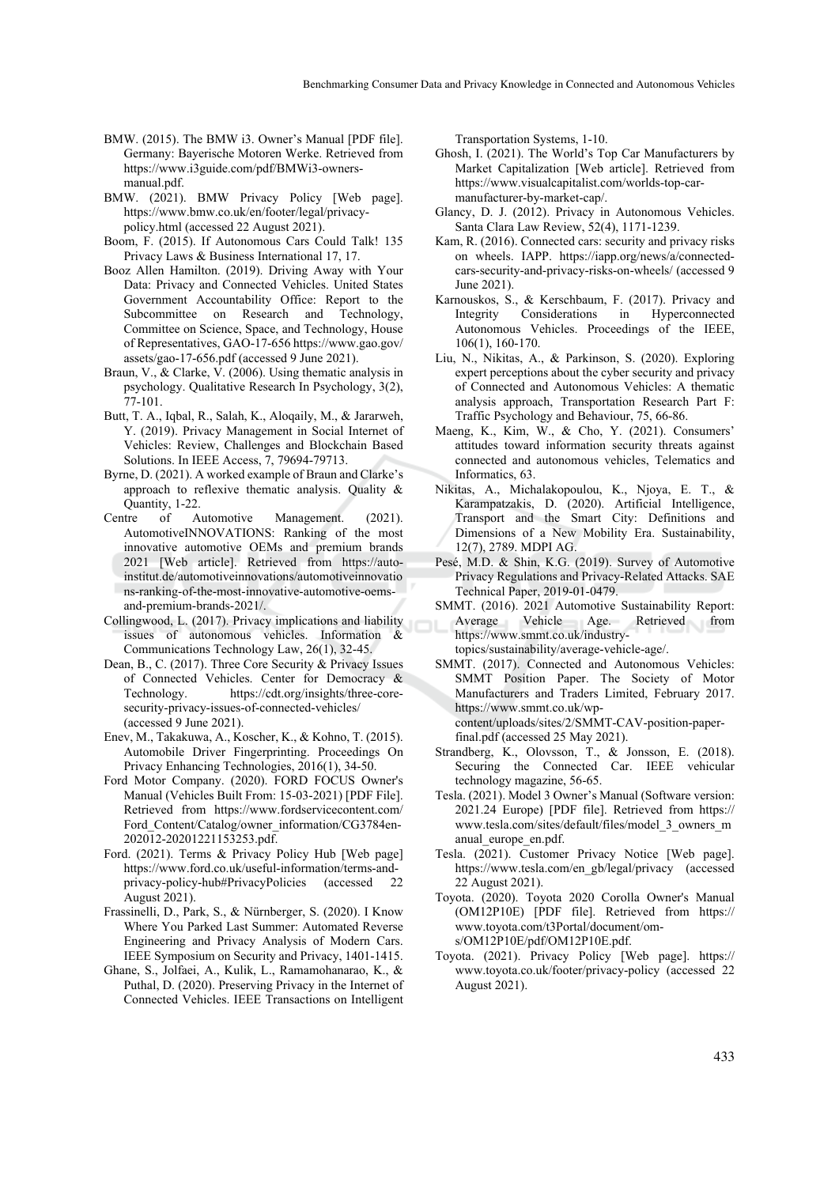- BMW. (2015). The BMW i3. Owner's Manual [PDF file]. Germany: Bayerische Motoren Werke. Retrieved from https://www.i3guide.com/pdf/BMWi3-ownersmanual.pdf.
- BMW. (2021). BMW Privacy Policy [Web page]. https://www.bmw.co.uk/en/footer/legal/privacypolicy.html (accessed 22 August 2021).
- Boom, F. (2015). If Autonomous Cars Could Talk! 135 Privacy Laws & Business International 17, 17.
- Booz Allen Hamilton. (2019). Driving Away with Your Data: Privacy and Connected Vehicles. United States Government Accountability Office: Report to the Subcommittee on Research and Technology, Committee on Science, Space, and Technology, House of Representatives, GAO-17-656 https://www.gao.gov/ assets/gao-17-656.pdf (accessed 9 June 2021).
- Braun, V., & Clarke, V. (2006). Using thematic analysis in psychology. Qualitative Research In Psychology, 3(2), 77-101.
- Butt, T. A., Iqbal, R., Salah, K., Aloqaily, M., & Jararweh, Y. (2019). Privacy Management in Social Internet of Vehicles: Review, Challenges and Blockchain Based Solutions. In IEEE Access, 7, 79694-79713.
- Byrne, D. (2021). A worked example of Braun and Clarke's approach to reflexive thematic analysis. Quality & Quantity, 1-22.
- Centre of Automotive Management. (2021). AutomotiveINNOVATIONS: Ranking of the most innovative automotive OEMs and premium brands 2021 [Web article]. Retrieved from https://autoinstitut.de/automotiveinnovations/automotiveinnovatio ns-ranking-of-the-most-innovative-automotive-oemsand-premium-brands-2021/.
- Collingwood, L. (2017). Privacy implications and liability issues of autonomous vehicles. Information & Communications Technology Law, 26(1), 32-45.
- Dean, B., C. (2017). Three Core Security & Privacy Issues of Connected Vehicles. Center for Democracy & Technology. https://cdt.org/insights/three-coresecurity-privacy-issues-of-connected-vehicles/ (accessed 9 June 2021).
- Enev, M., Takakuwa, A., Koscher, K., & Kohno, T. (2015). Automobile Driver Fingerprinting. Proceedings On Privacy Enhancing Technologies, 2016(1), 34-50.
- Ford Motor Company. (2020). FORD FOCUS Owner's Manual (Vehicles Built From: 15-03-2021) [PDF File]. Retrieved from https://www.fordservicecontent.com/ Ford Content/Catalog/owner\_information/CG3784en-202012-20201221153253.pdf.
- Ford. (2021). Terms & Privacy Policy Hub [Web page] https://www.ford.co.uk/useful-information/terms-andprivacy-policy-hub#PrivacyPolicies (accessed 22 August 2021).
- Frassinelli, D., Park, S., & Nürnberger, S. (2020). I Know Where You Parked Last Summer: Automated Reverse Engineering and Privacy Analysis of Modern Cars. IEEE Symposium on Security and Privacy, 1401-1415.
- Ghane, S., Jolfaei, A., Kulik, L., Ramamohanarao, K., & Puthal, D. (2020). Preserving Privacy in the Internet of Connected Vehicles. IEEE Transactions on Intelligent

Transportation Systems, 1-10.

- Ghosh, I. (2021). The World's Top Car Manufacturers by Market Capitalization [Web article]. Retrieved from https://www.visualcapitalist.com/worlds-top-carmanufacturer-by-market-cap/.
- Glancy, D. J. (2012). Privacy in Autonomous Vehicles. Santa Clara Law Review, 52(4), 1171-1239.
- Kam, R. (2016). Connected cars: security and privacy risks on wheels. IAPP. https://iapp.org/news/a/connectedcars-security-and-privacy-risks-on-wheels/ (accessed 9 June 2021).
- Karnouskos, S., & Kerschbaum, F. (2017). Privacy and Integrity Considerations in Hyperconnected Autonomous Vehicles. Proceedings of the IEEE, 106(1), 160-170.
- Liu, N., Nikitas, A., & Parkinson, S. (2020). Exploring expert perceptions about the cyber security and privacy of Connected and Autonomous Vehicles: A thematic analysis approach, Transportation Research Part F: Traffic Psychology and Behaviour, 75, 66-86.
- Maeng, K., Kim, W., & Cho, Y. (2021). Consumers' attitudes toward information security threats against connected and autonomous vehicles, Telematics and Informatics, 63.
- Nikitas, A., Michalakopoulou, K., Njoya, E. T., & Karampatzakis, D. (2020). Artificial Intelligence, Transport and the Smart City: Definitions and Dimensions of a New Mobility Era. Sustainability, 12(7), 2789. MDPI AG.
- Pesé, M.D. & Shin, K.G. (2019). Survey of Automotive Privacy Regulations and Privacy-Related Attacks. SAE Technical Paper, 2019-01-0479.
- SMMT. (2016). 2021 Automotive Sustainability Report: Average Vehicle Age. Retrieved from https://www.smmt.co.uk/industrytopics/sustainability/average-vehicle-age/.
- SMMT. (2017). Connected and Autonomous Vehicles: SMMT Position Paper. The Society of Motor Manufacturers and Traders Limited, February 2017. https://www.smmt.co.uk/wpcontent/uploads/sites/2/SMMT-CAV-position-paperfinal.pdf (accessed 25 May 2021).
- Strandberg, K., Olovsson, T., & Jonsson, E. (2018). Securing the Connected Car. IEEE vehicular technology magazine, 56-65.
- Tesla. (2021). Model 3 Owner's Manual (Software version: 2021.24 Europe) [PDF file]. Retrieved from https:// www.tesla.com/sites/default/files/model\_3\_owners\_m anual\_europe\_en.pdf.
- Tesla. (2021). Customer Privacy Notice [Web page]. https://www.tesla.com/en\_gb/legal/privacy (accessed 22 August 2021).
- Toyota. (2020). Toyota 2020 Corolla Owner's Manual (OM12P10E) [PDF file]. Retrieved from https:// www.toyota.com/t3Portal/document/oms/OM12P10E/pdf/OM12P10E.pdf.
- Toyota. (2021). Privacy Policy [Web page]. https:// www.toyota.co.uk/footer/privacy-policy (accessed 22 August 2021).